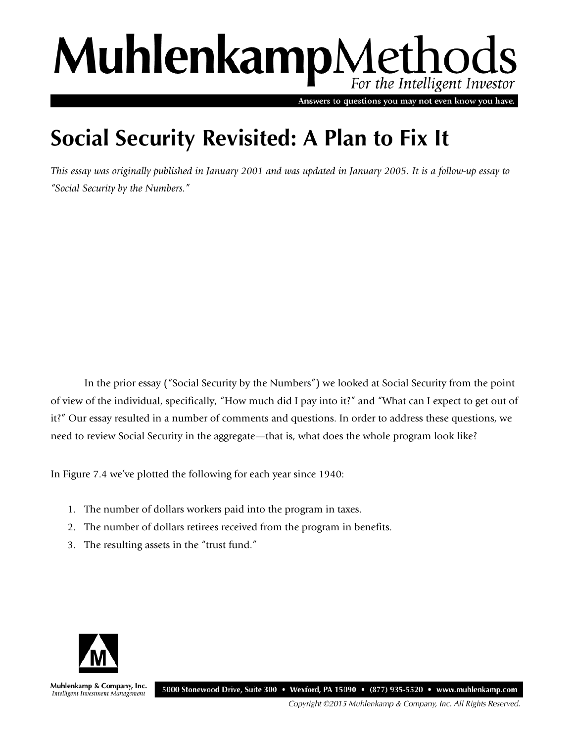# MuhlenkampMethods For the Intelligent Investor

Answers to questions you may not even know you have.

# **Social Security Revisited: A Plan to Fix It**

*This essay was originally published in January 2001 and was updated in January 2005. It is a follow-up essay to "Social Security by the Numbers."* 

In the prior essay ("Social Security by the Numbers") we looked at Social Security from the point of view of the individual, specifically, "How much did I pay into it?" and "What can I expect to get out of it?" Our essay resulted in a number of comments and questions. In order to address these questions, we need to review Social Security in the aggregate—that is, what does the whole program look like?

In Figure 7.4 we've plotted the following for each year since 1940:

- 1. The number of dollars workers paid into the program in taxes.
- 2. The number of dollars retirees received from the program in benefits.
- 3. The resulting assets in the "trust fund."



Muhlenkamp & Company, Inc. 5000 Stonewood Drive, Suite 300 • Wexford, PA 15090 • (877) 935-5520 • www.muhlenkamp.com Intelligent Investment Management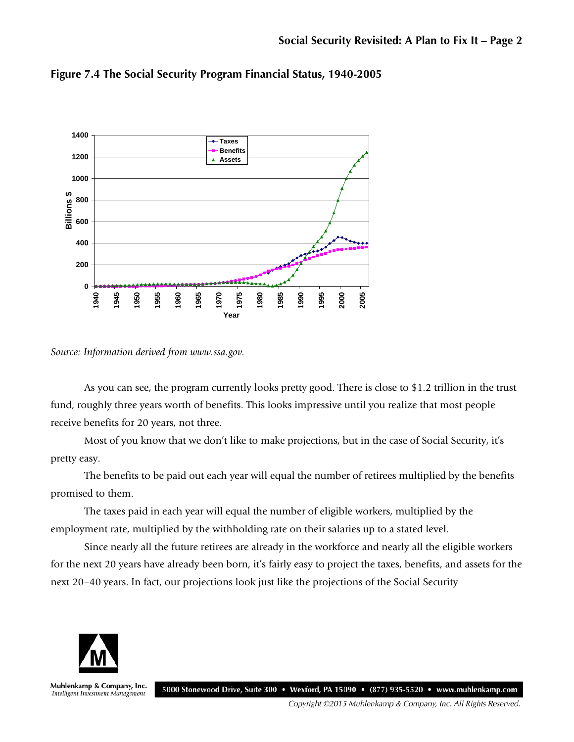

**Figure 7.4 The Social Security Program Financial Status, 1940-2005**

*Source: Information derived from www.ssa.gov.* 

As you can see, the program currently looks pretty good. There is close to \$1.2 trillion in the trust fund, roughly three years worth of benefits. This looks impressive until you realize that most people receive benefits for 20 years, not three.

Most of you know that we don't like to make projections, but in the case of Social Security, it's pretty easy.

The benefits to be paid out each year will equal the number of retirees multiplied by the benefits promised to them.

The taxes paid in each year will equal the number of eligible workers, multiplied by the employment rate, multiplied by the withholding rate on their salaries up to a stated level.

Since nearly all the future retirees are already in the workforce and nearly all the eligible workers for the next 20 years have already been born, it's fairly easy to project the taxes, benefits, and assets for the next 20–40 years. In fact, our projections look just like the projections of the Social Security



Muhlenkamp & Company, Inc. 5000 Stonewood Drive, Suite 300 • Wexford, PA 15090 • (877) 935-5520 • www.muhlenkamp.com Intelligent Investment Management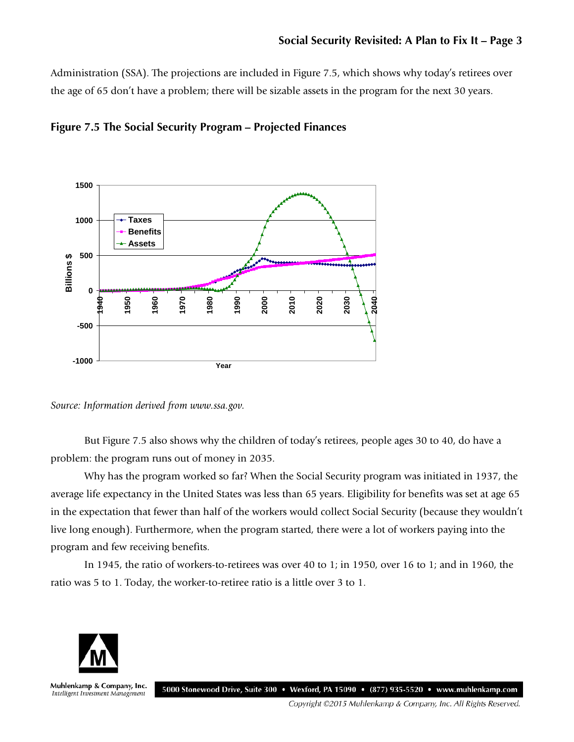Administration (SSA). The projections are included in Figure 7.5, which shows why today's retirees over the age of 65 don't have a problem; there will be sizable assets in the program for the next 30 years.





*Source: Information derived from www.ssa.gov.* 

But Figure 7.5 also shows why the children of today's retirees, people ages 30 to 40, do have a problem: the program runs out of money in 2035.

Why has the program worked so far? When the Social Security program was initiated in 1937, the average life expectancy in the United States was less than 65 years. Eligibility for benefits was set at age 65 in the expectation that fewer than half of the workers would collect Social Security (because they wouldn't live long enough). Furthermore, when the program started, there were a lot of workers paying into the program and few receiving benefits.

In 1945, the ratio of workers-to-retirees was over 40 to 1; in 1950, over 16 to 1; and in 1960, the ratio was 5 to 1. Today, the worker-to-retiree ratio is a little over 3 to 1.



Muhlenkamp & Company, Inc. 5000 Stonewood Drive, Suite 300 • Wexford, PA 15090 • (877) 935-5520 • www.muhlenkamp.com Intelligent Investment Management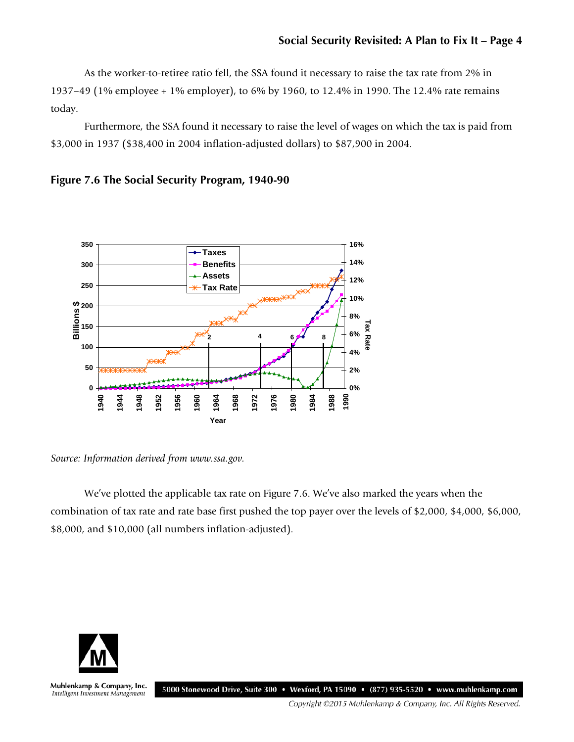As the worker-to-retiree ratio fell, the SSA found it necessary to raise the tax rate from 2% in 1937–49 (1% employee + 1% employer), to 6% by 1960, to 12.4% in 1990. The 12.4% rate remains today.

Furthermore, the SSA found it necessary to raise the level of wages on which the tax is paid from \$3,000 in 1937 (\$38,400 in 2004 inflation-adjusted dollars) to \$87,900 in 2004.





*Source: Information derived from www.ssa.gov.* 

We've plotted the applicable tax rate on Figure 7.6. We've also marked the years when the combination of tax rate and rate base first pushed the top payer over the levels of \$2,000, \$4,000, \$6,000, \$8,000, and \$10,000 (all numbers inflation-adjusted).



Muhlenkamp & Company, Inc. 5000 Stonewood Drive, Suite 300 • Wexford, PA 15090 • (877) 935-5520 • www.muhlenkamp.com Intelligent Investment Management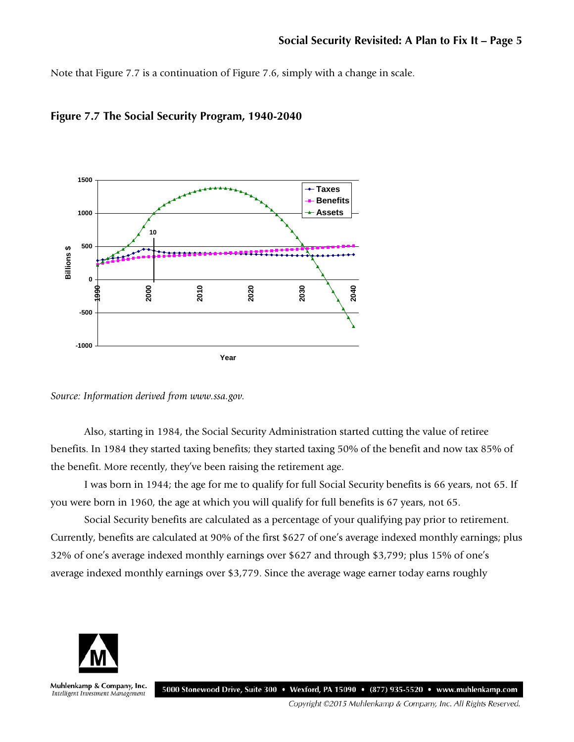Note that Figure 7.7 is a continuation of Figure 7.6, simply with a change in scale.



**Figure 7.7 The Social Security Program, 1940-2040**

*Source: Information derived from www.ssa.gov.* 

Also, starting in 1984, the Social Security Administration started cutting the value of retiree benefits. In 1984 they started taxing benefits; they started taxing 50% of the benefit and now tax 85% of the benefit. More recently, they've been raising the retirement age.

I was born in 1944; the age for me to qualify for full Social Security benefits is 66 years, not 65. If you were born in 1960, the age at which you will qualify for full benefits is 67 years, not 65.

Social Security benefits are calculated as a percentage of your qualifying pay prior to retirement. Currently, benefits are calculated at 90% of the first \$627 of one's average indexed monthly earnings; plus 32% of one's average indexed monthly earnings over \$627 and through \$3,799; plus 15% of one's average indexed monthly earnings over \$3,779. Since the average wage earner today earns roughly



Muhlenkamp & Company, Inc. 5000 Stonewood Drive, Suite 300 • Wexford, PA 15090 • (877) 935-5520 • www.muhlenkamp.com Intelligent Investment Management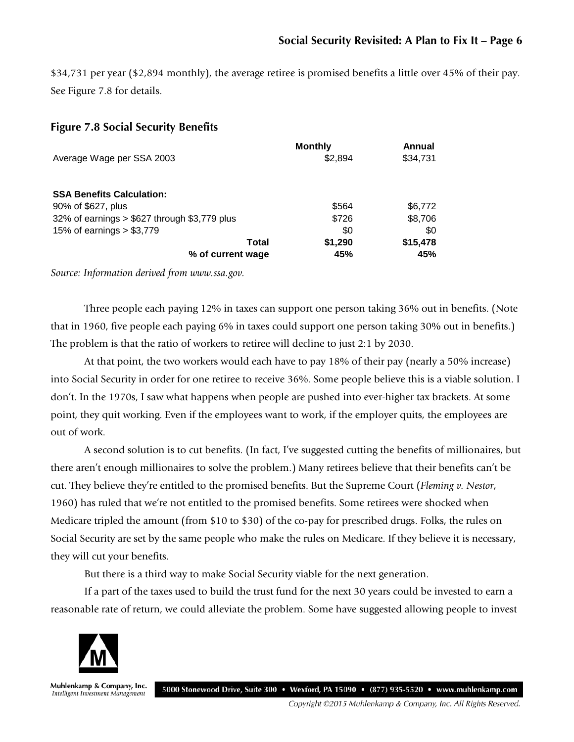\$34,731 per year (\$2,894 monthly), the average retiree is promised benefits a little over 45% of their pay. See Figure 7.8 for details.

## **Figure 7.8 Social Security Benefits**

|                                               | <b>Monthly</b> | Annual   |
|-----------------------------------------------|----------------|----------|
| Average Wage per SSA 2003                     | \$2.894        | \$34,731 |
| <b>SSA Benefits Calculation:</b>              |                |          |
| 90% of \$627, plus                            | \$564          | \$6,772  |
| 32% of earnings $> $627$ through \$3,779 plus | \$726          | \$8,706  |
| 15% of earnings $> $3,779$                    | \$0            | \$0      |
| Total                                         | \$1,290        | \$15,478 |
| % of current wage                             | 45%            | 45%      |

*Source: Information derived from www.ssa.gov.* 

Three people each paying 12% in taxes can support one person taking 36% out in benefits. (Note that in 1960, five people each paying 6% in taxes could support one person taking 30% out in benefits.) The problem is that the ratio of workers to retiree will decline to just 2:1 by 2030.

At that point, the two workers would each have to pay 18% of their pay (nearly a 50% increase) into Social Security in order for one retiree to receive 36%. Some people believe this is a viable solution. I don't. In the 1970s, I saw what happens when people are pushed into ever-higher tax brackets. At some point, they quit working. Even if the employees want to work, if the employer quits, the employees are out of work.

A second solution is to cut benefits. (In fact, I've suggested cutting the benefits of millionaires, but there aren't enough millionaires to solve the problem.) Many retirees believe that their benefits can't be cut. They believe they're entitled to the promised benefits. But the Supreme Court (*Fleming v. Nestor*, 1960) has ruled that we're not entitled to the promised benefits. Some retirees were shocked when Medicare tripled the amount (from \$10 to \$30) of the co-pay for prescribed drugs. Folks, the rules on Social Security are set by the same people who make the rules on Medicare. If they believe it is necessary, they will cut your benefits.

But there is a third way to make Social Security viable for the next generation.

If a part of the taxes used to build the trust fund for the next 30 years could be invested to earn a reasonable rate of return, we could alleviate the problem. Some have suggested allowing people to invest



Muhlenkamp & Company, Inc. Intelligent Investment Management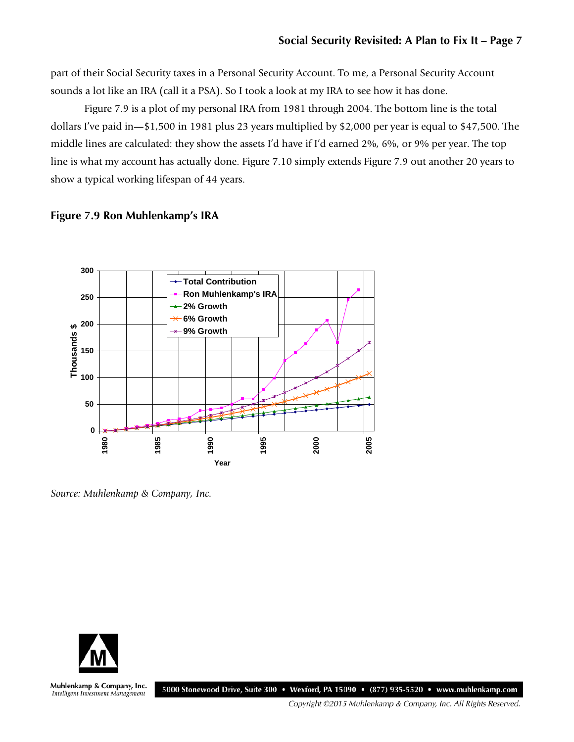part of their Social Security taxes in a Personal Security Account. To me, a Personal Security Account sounds a lot like an IRA (call it a PSA). So I took a look at my IRA to see how it has done.

Figure 7.9 is a plot of my personal IRA from 1981 through 2004. The bottom line is the total dollars I've paid in—\$1,500 in 1981 plus 23 years multiplied by \$2,000 per year is equal to \$47,500. The middle lines are calculated: they show the assets I'd have if I'd earned 2%, 6%, or 9% per year. The top line is what my account has actually done. Figure 7.10 simply extends Figure 7.9 out another 20 years to show a typical working lifespan of 44 years.

#### **Figure 7.9 Ron Muhlenkamp's IRA**



*Source: Muhlenkamp & Company, Inc.*



Muhlenkamp & Company, Inc. 5000 Stonewood Drive, Suite 300 • Wexford, PA 15090 • (877) 935-5520 • www.muhlenkamp.com Intelligent Investment Management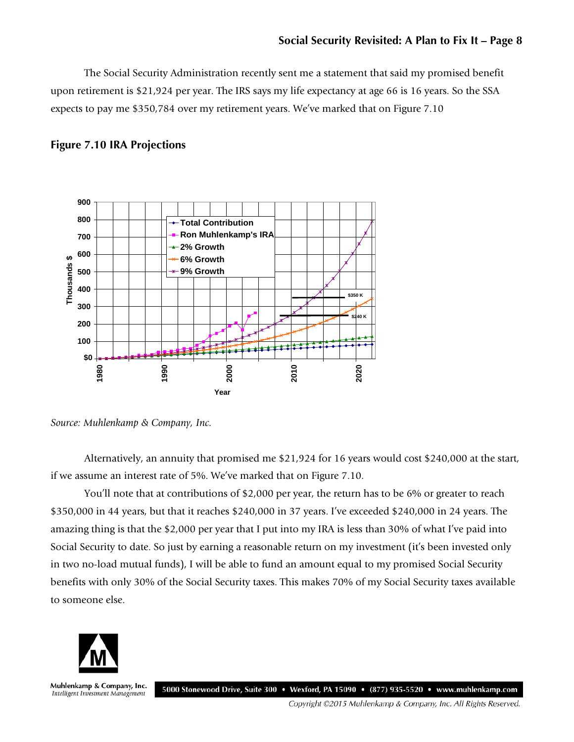The Social Security Administration recently sent me a statement that said my promised benefit upon retirement is \$21,924 per year. The IRS says my life expectancy at age 66 is 16 years. So the SSA expects to pay me \$350,784 over my retirement years. We've marked that on Figure 7.10

### **Figure 7.10 IRA Projections**



*Source: Muhlenkamp & Company, Inc.*

Alternatively, an annuity that promised me \$21,924 for 16 years would cost \$240,000 at the start, if we assume an interest rate of 5%. We've marked that on Figure 7.10.

You'll note that at contributions of \$2,000 per year, the return has to be 6% or greater to reach \$350,000 in 44 years, but that it reaches \$240,000 in 37 years. I've exceeded \$240,000 in 24 years. The amazing thing is that the \$2,000 per year that I put into my IRA is less than 30% of what I've paid into Social Security to date. So just by earning a reasonable return on my investment (it's been invested only in two no-load mutual funds), I will be able to fund an amount equal to my promised Social Security benefits with only 30% of the Social Security taxes. This makes 70% of my Social Security taxes available to someone else.



Muhlenkamp & Company, Inc. 5000 Stonewood Drive, Suite 300 • Wexford, PA 15090 • (877) 935-5520 • www.muhlenkamp.com Intelligent Investment Management